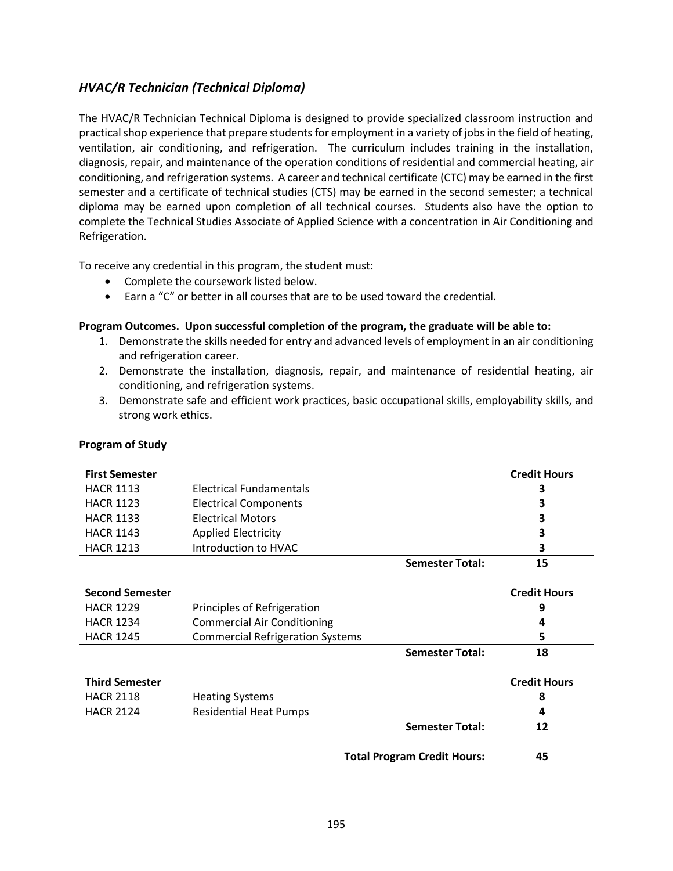## *HVAC/R Technician (Technical Diploma)*

The HVAC/R Technician Technical Diploma is designed to provide specialized classroom instruction and practical shop experience that prepare students for employment in a variety of jobs in the field of heating, ventilation, air conditioning, and refrigeration. The curriculum includes training in the installation, diagnosis, repair, and maintenance of the operation conditions of residential and commercial heating, air conditioning, and refrigeration systems. A career and technical certificate (CTC) may be earned in the first semester and a certificate of technical studies (CTS) may be earned in the second semester; a technical diploma may be earned upon completion of all technical courses. Students also have the option to complete the Technical Studies Associate of Applied Science with a concentration in Air Conditioning and Refrigeration.

To receive any credential in this program, the student must:

- Complete the coursework listed below.
- Earn a "C" or better in all courses that are to be used toward the credential.

## **Program Outcomes. Upon successful completion of the program, the graduate will be able to:**

- 1. Demonstrate the skills needed for entry and advanced levels of employment in an air conditioning and refrigeration career.
- 2. Demonstrate the installation, diagnosis, repair, and maintenance of residential heating, air conditioning, and refrigeration systems.
- 3. Demonstrate safe and efficient work practices, basic occupational skills, employability skills, and strong work ethics.

| <b>First Semester</b>              |                                         |                        | <b>Credit Hours</b> |
|------------------------------------|-----------------------------------------|------------------------|---------------------|
| <b>HACR 1113</b>                   | Electrical Fundamentals                 |                        | 3                   |
| <b>HACR 1123</b>                   | <b>Electrical Components</b>            |                        | 3                   |
| <b>HACR 1133</b>                   | <b>Electrical Motors</b>                |                        | 3                   |
| <b>HACR 1143</b>                   | <b>Applied Electricity</b>              |                        | 3                   |
| <b>HACR 1213</b>                   | Introduction to HVAC                    |                        | 3                   |
|                                    |                                         | <b>Semester Total:</b> | 15                  |
| <b>Second Semester</b>             |                                         |                        | <b>Credit Hours</b> |
| <b>HACR 1229</b>                   | Principles of Refrigeration             |                        | 9                   |
| <b>HACR 1234</b>                   | <b>Commercial Air Conditioning</b>      |                        | 4                   |
| <b>HACR 1245</b>                   | <b>Commercial Refrigeration Systems</b> |                        | 5                   |
|                                    |                                         | <b>Semester Total:</b> | 18                  |
| <b>Third Semester</b>              |                                         |                        | <b>Credit Hours</b> |
| <b>HACR 2118</b>                   | <b>Heating Systems</b>                  |                        | 8                   |
| <b>HACR 2124</b>                   | <b>Residential Heat Pumps</b>           |                        | 4                   |
|                                    |                                         | <b>Semester Total:</b> | 12                  |
| <b>Total Program Credit Hours:</b> |                                         | 45                     |                     |

## **Program of Study**